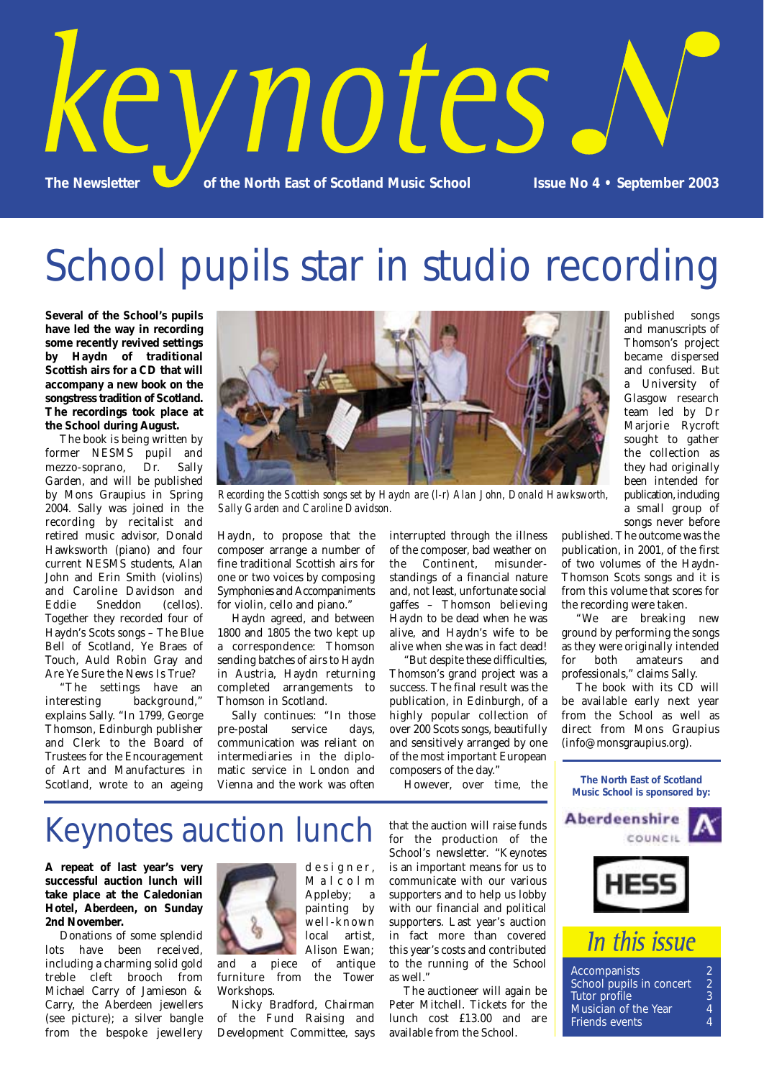

## School pupils star in studio recording

**Several of the School's pupils have led the way in recording some recently revived settings by Haydn of traditional Scottish airs for a CD that will accompany a new book on the songstress tradition of Scotland. The recordings took place at the School during August.** 

The book is being written by former NESMS pupil and mezzo-soprano, Dr. Sally Garden, and will be published by Mons Graupius in Spring 2004. Sally was joined in the recording by recitalist and retired music advisor, Donald Hawksworth (piano) and four current NESMS students, Alan John and Erin Smith (violins) and Caroline Davidson and Eddie Sneddon (cellos). Together they recorded four of Haydn's Scots songs – The Blue Bell of Scotland, Ye Braes of Touch, Auld Robin Gray and Are Ye Sure the News Is True?

"The settings have an interesting background," explains Sally. "In 1799, George Thomson, Edinburgh publisher and Clerk to the Board of Trustees for the Encouragement of Art and Manufactures in Scotland, wrote to an ageing



*Recording the Scottish songs set by Haydn are (l-r) Alan John, Donald Hawksworth, Sally Garden and Caroline Davidson.*

Haydn, to propose that the composer arrange a number of fine traditional Scottish airs for one or two voices by composing Symphonies and Accompaniments for violin, cello and piano."

Haydn agreed, and between 1800 and 1805 the two kept up a correspondence: Thomson sending batches of airs to Haydn in Austria, Haydn returning completed arrangements to Thomson in Scotland.

Sally continues: "In those pre-postal service days, communication was reliant on intermediaries in the diplomatic service in London and Vienna and the work was often interrupted through the illness of the composer, bad weather on the Continent, misunderstandings of a financial nature and, not least, unfortunate social gaffes – Thomson believing Haydn to be dead when he was alive, and Haydn's wife to be alive when she was in fact dead!

"But despite these difficulties, Thomson's grand project was a success. The final result was the publication, in Edinburgh, of a highly popular collection of over 200 Scots songs, beautifully and sensitively arranged by one of the most important European composers of the day."

However, over time, the

published songs and manuscripts of Thomson's project became dispersed and confused. But a University of Glasgow research team led by Dr Marjorie Rycroft sought to gather the collection as they had originally been intended for publication, including a small group of songs never before

published. The outcome was the publication, in 2001, of the first of two volumes of the Haydn-Thomson Scots songs and it is from this volume that scores for the recording were taken.

"We are breaking new ground by performing the songs as they were originally intended for both amateurs and professionals," claims Sally.

The book with its CD will be available early next year from the School as well as direct from Mons Graupius (info@monsgraupius.org).

### **The North East of Scotland Music School is sponsored by:**





#### 2 Accompanists<br>2 School pupils in concert<br>2 Tutor profile School pupils in concert Tutor profile 3 Musician of the Year  $\qquad \qquad \, 4$ Friends events  $\qquad \qquad \, 4$ Friends events 4

## Keynotes auction lunch

**A repeat of last year's very successful auction lunch will take place at the Caledonian Hotel, Aberdeen, on Sunday 2nd November.**

Donations of some splendid lots have been received, including a charming solid gold treble cleft brooch from Michael Carry of Jamieson & Carry, the Aberdeen jewellers (see picture); a silver bangle from the bespoke jewellery



Malcolm Appleby; a painting by well-known local artist, Alison Ewan; and a piece of antique

designer,

furniture from the Tower Workshops. Nicky Bradford, Chairman

of the Fund Raising and Development Committee, says

that the auction will raise funds for the production of the School's newsletter. "Keynotes is an important means for us to communicate with our various supporters and to help us lobby with our financial and political supporters. Last year's auction in fact more than covered this year's costs and contributed to the running of the School as well."

The auctioneer will again be Peter Mitchell. Tickets for the lunch cost £13.00 and are available from the School.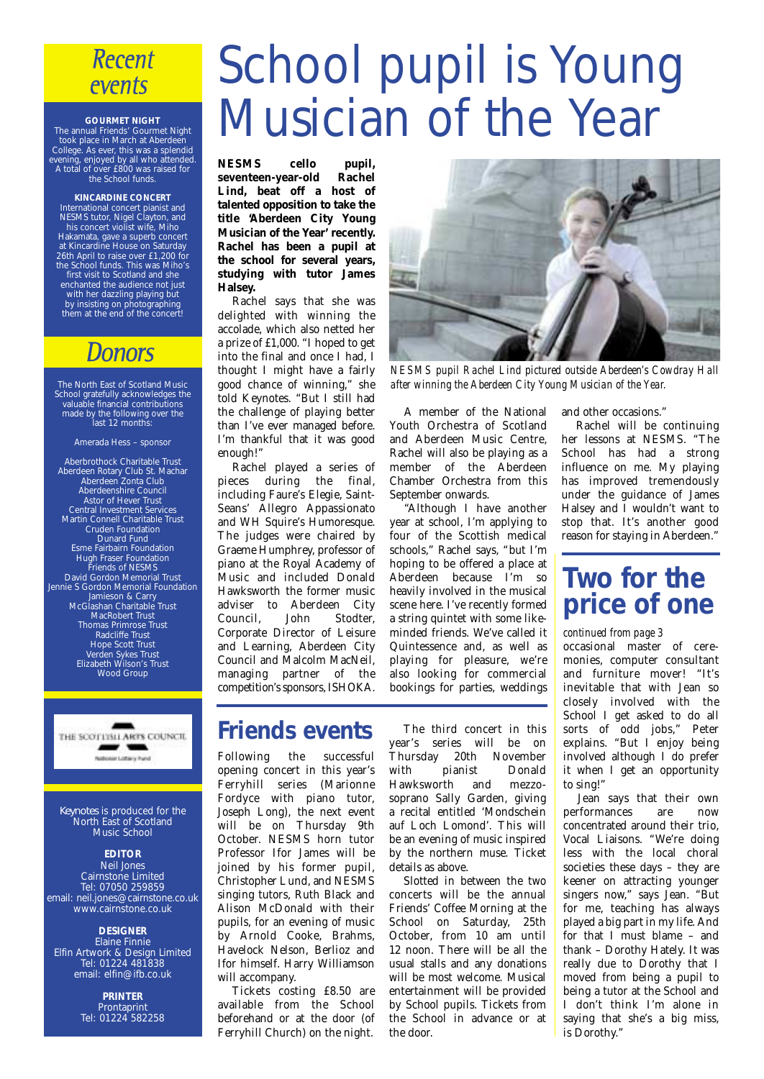### **Recent** events

#### **GOURMET NIGHT**

The annual Friends' Gourmet Night took place in March at Aberdeen College. As ever, this was a splendid evening, enjoyed by all who attended. A total of over £800 was raised for the School funds.

#### **KINCARDINE CONCERT**

International concert pianist and NESMS tutor, Nigel Clayton, and his concert violist wife, Miho Hakamata, gave a superb concert at Kincardine House on Saturday 26th April to raise over £1,200 for the School funds. This was Miho's first visit to Scotland and she enchanted the audience not just with her dazzling playing but by insisting on photographing them at the end of the concert!

### **Donors**

The North East of Scotland Music School gratefully acknowledges the valuable financial contributions made by the following over the last 12 months:

#### Amerada Hess – sponsor

Aberbrothock Charitable Trust Aberdeen Rotary Club St. Machar Aberdeen Zonta Club Aberdeenshire Council Astor of Hever Trust Central Investment Services Martin Connell Charitable Trust Cruden Foundation Dunard Fund Esme Fairbairn Foundation Hugh Fraser Foundation Friends of NESMS David Gordon Memorial Trust Jennie S Gordon Memorial Foundation Jamieson & Carry McGlashan Charitable Trust MacRobert Trust Thomas Primrose Trust Radcliffe Trust Hope Scott Trust Verden Sykes Trust Elizabeth Wilson's Trust Wood Group



*Keynotes* is produced for the North East of Scotland Music School

### **EDITOR**

Neil Jones Cairnstone Limited Tel: 07050 259859 email: neil.jones@cairnstone.co.uk www.cairnstone.co.uk

#### **DESIGNER**

Elaine Finnie Elfin Artwork & Design Limited Tel: 01224 481838 email: elfin@ifb.co.uk

> **PRINTER** Prontaprint Tel: 01224 582258

# School pupil is Young Musician of the Year

**NESMS cello pupil,** seventeen-year-old **Lind, beat off a host of talented opposition to take the title 'Aberdeen City Young Musician of the Year' recently. Rachel has been a pupil at the school for several years, studying with tutor James Halsey.**

Rachel says that she was delighted with winning the accolade, which also netted her a prize of £1,000. "I hoped to get into the final and once I had, I thought I might have a fairly good chance of winning," she told Keynotes. "But I still had the challenge of playing better than I've ever managed before. I'm thankful that it was good enough!"

Rachel played a series of pieces during the final, including Faure's Elegie, Saint-Seans' Allegro Appassionato and WH Squire's Humoresque. The judges were chaired by Graeme Humphrey, professor of piano at the Royal Academy of Music and included Donald Hawksworth the former music adviser to Aberdeen City Council, John Stodter, Corporate Director of Leisure and Learning, Aberdeen City Council and Malcolm MacNeil, managing partner of the competition's sponsors, ISHOKA.



*NESMS pupil Rachel Lind pictured outside Aberdeen's Cowdray Hall after winning the Aberdeen City Young Musician of the Year.*

A member of the National Youth Orchestra of Scotland and Aberdeen Music Centre, Rachel will also be playing as a member of the Aberdeen Chamber Orchestra from this September onwards.

"Although I have another year at school, I'm applying to four of the Scottish medical schools," Rachel says, "but I'm hoping to be offered a place at Aberdeen because I'm so heavily involved in the musical scene here. I've recently formed a string quintet with some likeminded friends. We've called it Quintessence and, as well as playing for pleasure, we're also looking for commercial bookings for parties, weddings and other occasions." Rachel will be continuing

her lessons at NESMS. "The School has had a strong influence on me. My playing has improved tremendously under the guidance of James Halsey and I wouldn't want to stop that. It's another good reason for staying in Aberdeen."

## **Two for the price of one**

#### *continued from page 3*

occasional master of ceremonies, computer consultant and furniture mover! "It's inevitable that with Jean so closely involved with the School I get asked to do all sorts of odd jobs," Peter explains. "But I enjoy being involved although I do prefer it when I get an opportunity to sing!"

Jean says that their own performances are now concentrated around their trio, Vocal Liaisons. "We're doing less with the local choral societies these days – they are keener on attracting younger singers now," says Jean. "But for me, teaching has always played a big part in my life. And for that I must blame – and thank – Dorothy Hately. It was really due to Dorothy that I moved from being a pupil to being a tutor at the School and I don't think I'm alone in saying that she's a big miss, is Dorothy."

### **Friends events**

Following the successful opening concert in this year's Ferryhill series (Marionne Fordyce with piano tutor, Joseph Long), the next event will be on Thursday 9th October. NESMS horn tutor Professor Ifor James will be joined by his former pupil, Christopher Lund, and NESMS singing tutors, Ruth Black and Alison McDonald with their pupils, for an evening of music by Arnold Cooke, Brahms, Havelock Nelson, Berlioz and Ifor himself. Harry Williamson will accompany.

Tickets costing £8.50 are available from the School beforehand or at the door (of Ferryhill Church) on the night.

The third concert in this year's series will be on **Thursday 20th November<br>with pianist Donald** pianist Hawksworth and mezzosoprano Sally Garden, giving a recital entitled 'Mondschein auf Loch Lomond'. This will be an evening of music inspired by the northern muse. Ticket details as above.

Slotted in between the two concerts will be the annual Friends' Coffee Morning at the School on Saturday, 25th October, from 10 am until 12 noon. There will be all the usual stalls and any donations will be most welcome. Musical entertainment will be provided by School pupils. Tickets from the School in advance or at the door.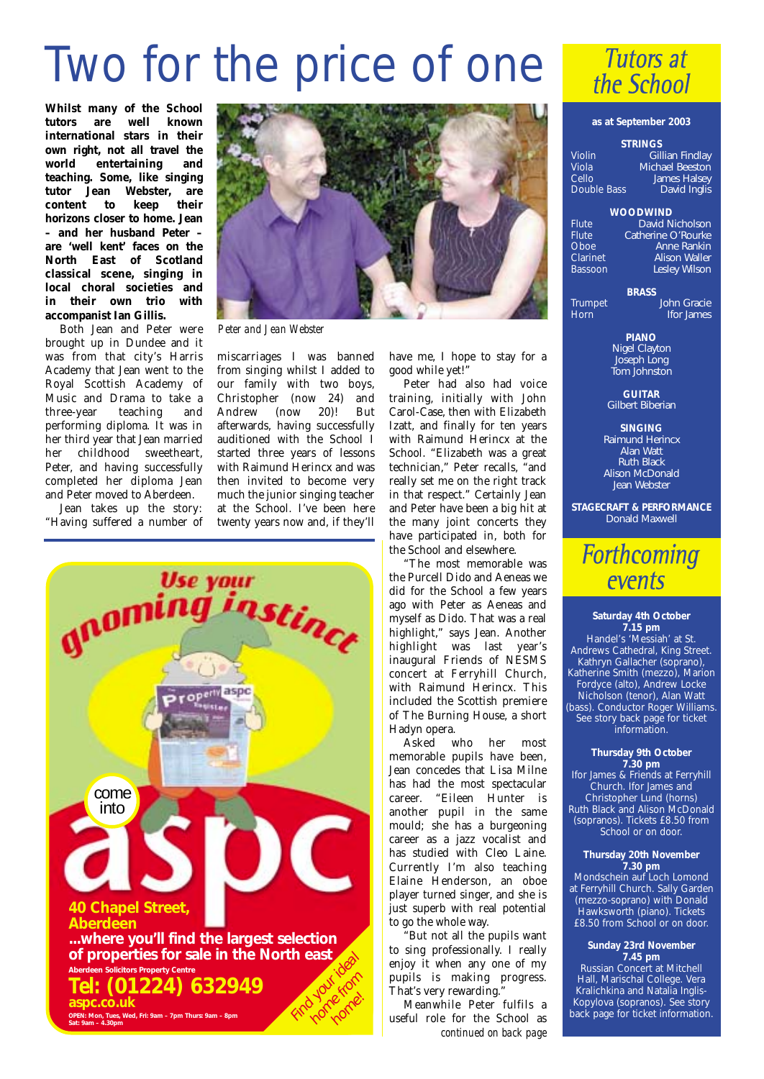## Two for the price of one

**Whilst many of the School** well known **international stars in their own right, not all travel the** *entertaining* and **teaching. Some, like singing tutor Jean Webster, are content to keep their horizons closer to home. Jean – and her husband Peter – are 'well kent' faces on the North East of Scotland classical scene, singing in local choral societies and in their own trio with accompanist Ian Gillis.** 

Both Jean and Peter were brought up in Dundee and it was from that city's Harris Academy that Jean went to the Royal Scottish Academy of Music and Drama to take a<br>three-vear teaching and three-year teaching and performing diploma. It was in her third year that Jean married her childhood sweetheart, Peter, and having successfully completed her diploma Jean and Peter moved to Aberdeen.

Jean takes up the story: "Having suffered a number of



*Peter and Jean Webster*

miscarriages I was banned from singing whilst I added to our family with two boys, Christopher (now 24) and Andrew (now 20)! But afterwards, having successfully auditioned with the School I started three years of lessons with Raimund Herincx and was then invited to become very much the junior singing teacher at the School. I've been here twenty years now and, if they'll



have me, I hope to stay for a good while yet!"

Peter had also had voice training, initially with John Carol-Case, then with Elizabeth Izatt, and finally for ten years with Raimund Herincx at the School. "Elizabeth was a great technician," Peter recalls, "and really set me on the right track in that respect." Certainly Jean and Peter have been a big hit at the many joint concerts they have participated in, both for the School and elsewhere.

"The most memorable was the Purcell Dido and Aeneas we did for the School a few years ago with Peter as Aeneas and myself as Dido. That was a real highlight," says Jean. Another highlight was last year's inaugural Friends of NESMS concert at Ferryhill Church, with Raimund Herincx. This included the Scottish premiere of The Burning House, a short Hadyn opera.

Asked who her most memorable pupils have been, Jean concedes that Lisa Milne has had the most spectacular career. "Eileen Hunter is another pupil in the same mould; she has a burgeoning career as a jazz vocalist and has studied with Cleo Laine. Currently I'm also teaching Elaine Henderson, an oboe player turned singer, and she is just superb with real potential to go the whole way.

"But not all the pupils want to sing professionally. I really enjoy it when any one of my pupils is making progress. That's very rewarding."

Meanwhile Peter fulfils a useful role for the School as *continued on back page*



#### **as at September 2003**

#### **STRINGS**

Violin *Gillian Findlay* Viola *Michael Beeston* Cello *James Halsey* Double Bass *David Inglis*

#### **WOODWIND**

Flute *David Nicholson* Flute *Catherine O'Rourke*<br>Choe *Anne Bankin* Oboe *Anne Rankin* Clarinet *Alison Waller* Bassoon *Lesley Wilson*

**BRASS**

Trumpet *John Gracie* Horn *Ifor James*

> **PIANO** *Nigel Clayton Joseph Long Tom Johnston*

**GUITAR** *Gilbert Biberian*

**SINGING** *Raimund Herincx Alan Watt Ruth Black Alison McDonald Jean Webster*

**STAGECRAFT & PERFORMANCE** *Donald Maxwell*

## **Forthcoming** events

**Saturday 4th October 7.15 pm** Handel's 'Messiah' at St. Andrews Cathedral, King Street. Kathryn Gallacher (soprano), Katherine Smith (mezzo), Marion Fordyce (alto), Andrew Locke Nicholson (tenor), Alan Watt (bass). Conductor Roger Williams. See story back page for ticket information.

#### **Thursday 9th October 7.30 pm**

Ifor James & Friends at Ferryhill Church. Ifor James and Christopher Lund (horns) Ruth Black and Alison McDonald (sopranos). Tickets £8.50 from School or on door.

#### **Thursday 20th November 7.30 pm**

Mondschein auf Loch Lomond at Ferryhill Church. Sally Garden (mezzo-soprano) with Donald Hawksworth (piano). Tickets £8.50 from School or on door.

#### **Sunday 23rd November 7.45 pm**

Russian Concert at Mitchell Hall, Marischal College. Vera Kralichkina and Natalia Inglis-Kopylova (sopranos). See story back page for ticket information.